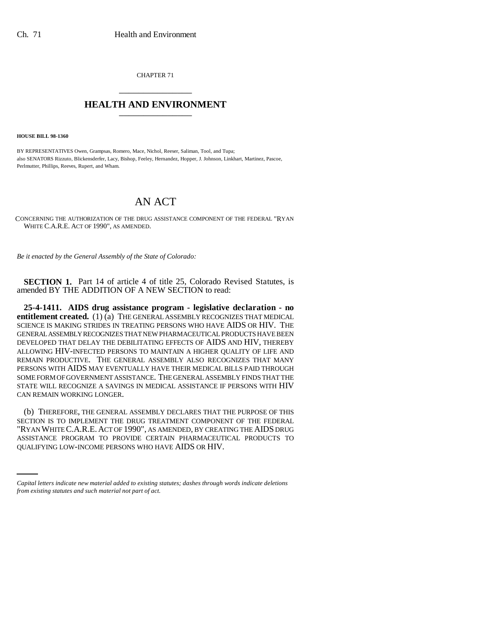CHAPTER 71 \_\_\_\_\_\_\_\_\_\_\_\_\_\_\_

## **HEALTH AND ENVIRONMENT** \_\_\_\_\_\_\_\_\_\_\_\_\_\_\_

**HOUSE BILL 98-1360**

BY REPRESENTATIVES Owen, Grampsas, Romero, Mace, Nichol, Reeser, Saliman, Tool, and Tupa; also SENATORS Rizzuto, Blickensderfer, Lacy, Bishop, Feeley, Hernandez, Hopper, J. Johnson, Linkhart, Martinez, Pascoe, Perlmutter, Phillips, Reeves, Rupert, and Wham.

## AN ACT

CONCERNING THE AUTHORIZATION OF THE DRUG ASSISTANCE COMPONENT OF THE FEDERAL "RYAN WHITE C.A.R.E. ACT OF 1990", AS AMENDED.

*Be it enacted by the General Assembly of the State of Colorado:*

**SECTION 1.** Part 14 of article 4 of title 25, Colorado Revised Statutes, is amended BY THE ADDITION OF A NEW SECTION to read:

**25-4-1411. AIDS drug assistance program - legislative declaration - no entitlement created.** (1) (a) THE GENERAL ASSEMBLY RECOGNIZES THAT MEDICAL SCIENCE IS MAKING STRIDES IN TREATING PERSONS WHO HAVE AIDS OR HIV. THE GENERAL ASSEMBLY RECOGNIZES THAT NEW PHARMACEUTICAL PRODUCTS HAVE BEEN DEVELOPED THAT DELAY THE DEBILITATING EFFECTS OF AIDS AND HIV, THEREBY ALLOWING HIV-INFECTED PERSONS TO MAINTAIN A HIGHER QUALITY OF LIFE AND REMAIN PRODUCTIVE. THE GENERAL ASSEMBLY ALSO RECOGNIZES THAT MANY PERSONS WITH AIDS MAY EVENTUALLY HAVE THEIR MEDICAL BILLS PAID THROUGH SOME FORM OF GOVERNMENT ASSISTANCE. THE GENERAL ASSEMBLY FINDS THAT THE STATE WILL RECOGNIZE A SAVINGS IN MEDICAL ASSISTANCE IF PERSONS WITH HIV CAN REMAIN WORKING LONGER.

"RYAN WHITE C.A.R.E.ACT OF 1990", AS AMENDED, BY CREATING THE AIDS DRUG (b) THEREFORE, THE GENERAL ASSEMBLY DECLARES THAT THE PURPOSE OF THIS SECTION IS TO IMPLEMENT THE DRUG TREATMENT COMPONENT OF THE FEDERAL ASSISTANCE PROGRAM TO PROVIDE CERTAIN PHARMACEUTICAL PRODUCTS TO QUALIFYING LOW-INCOME PERSONS WHO HAVE AIDS OR HIV.

*Capital letters indicate new material added to existing statutes; dashes through words indicate deletions from existing statutes and such material not part of act.*